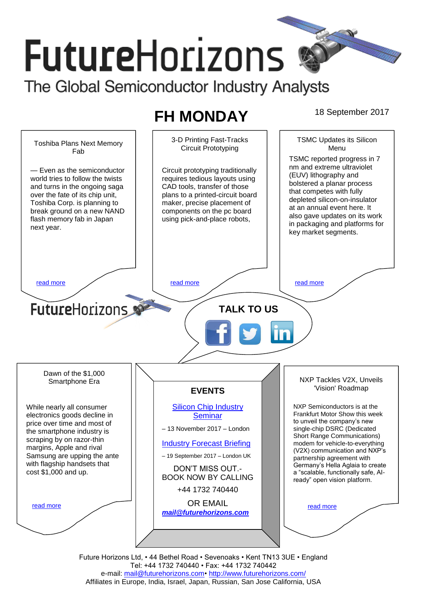# **FutureHorizons** The Global Semiconductor Industry Analysts

# **FH MONDAY** 18 September 2017

TSMC Updates its Silicon 3-D Printing Fast-Tracks Toshiba Plans Next Memory Circuit Prototyping Menu Fab TSMC reported progress in 7 nm and extreme ultraviolet — Even as the semiconductor Circuit prototyping traditionally (EUV) lithography and world tries to follow the twists requires tedious layouts using bolstered a planar process and turns in the ongoing saga CAD tools, transfer of those that competes with fully over the fate of its chip unit, plans to a printed-circuit board depleted silicon-on-insulator Toshiba Corp. is planning to maker, precise placement of at an annual event here. It break ground on a new NAND components on the pc board also gave updates on its work flash memory fab in Japan using pick-and-place robots, in packaging and platforms for next year. key market segments. [read more](#page-1-1) that the second contract the second contract of the read more that the read more that the read more **Future**Horizons **TALK TO US** Dawn of the \$1,000 NXP Tackles V2X, Unveils Smartphone Era 'Vision' Roadmap **EVENTS** [Silicon Chip Industry](http://www.futurehorizons.com/page/12/silicon-chip-training)  NXP Semiconductors is at the While nearly all consumer Frankfurt Motor Show this week electronics goods decline in **[Seminar](http://www.futurehorizons.com/page/12/silicon-chip-training)** to unveil the company's new price over time and most of – 13 November 2017 – London single-chip DSRC (Dedicated the smartphone industry is Short Range Communications) scraping by on razor-thin [Industry Forecast Briefing](http://www.futurehorizons.com/page/13/Semiconductor-Market-Forecast-Seminar) modem for vehicle-to-everything margins, Apple and rival (V2X) communication and NXP's Samsung are upping the ante – 19 September 2017 – London UK partnership agreement with with flagship handsets that Germany's Hella Aglaia to create DON'T MISS OUT. cost \$1,000 and up.a "scalable, functionally safe, AI-BOOK NOW BY CALLING ready" open vision platform. +44 1732 740440 OR EMAIL [read more](#page-1-3) [read more](#page-1-4) *[mail@futurehorizons.com](mailto:mail@futurehorizons.com)*

Future Horizons Ltd, • 44 Bethel Road • Sevenoaks • Kent TN13 3UE • England Tel: +44 1732 740440 • Fax: +44 1732 740442 e-mail: mail@futurehorizons.com• http://www.futurehorizons.com/ Affiliates in Europe, India, Israel, Japan, Russian, San Jose California, USA